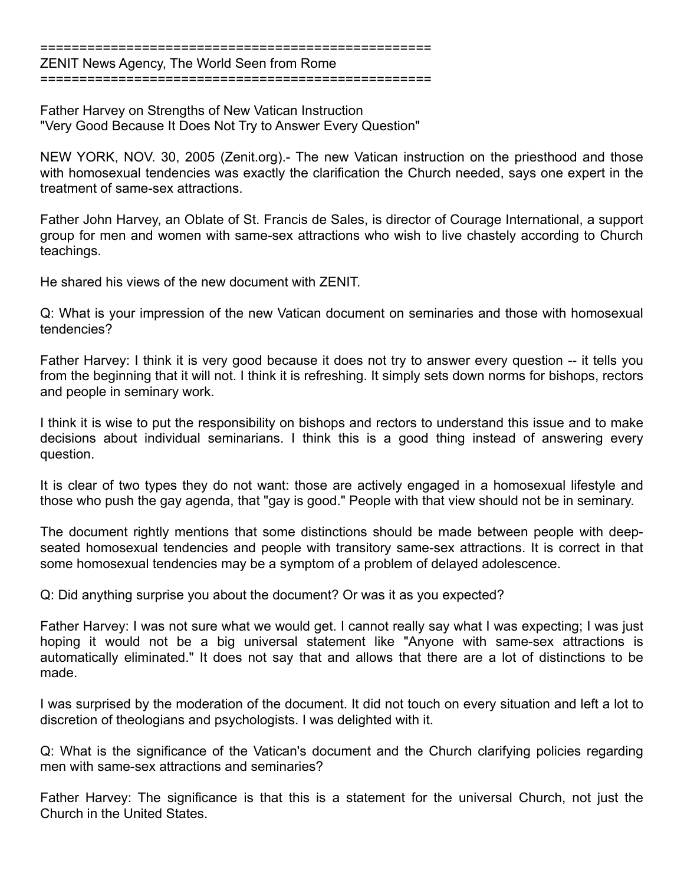==================================================

ZENIT News Agency, The World Seen from Rome ==================================================

Father Harvey on Strengths of New Vatican Instruction "Very Good Because It Does Not Try to Answer Every Question"

NEW YORK, NOV. 30, 2005 (Zenit.org).- The new Vatican instruction on the priesthood and those with homosexual tendencies was exactly the clarification the Church needed, says one expert in the treatment of same-sex attractions.

Father John Harvey, an Oblate of St. Francis de Sales, is director of Courage International, a support group for men and women with same-sex attractions who wish to live chastely according to Church teachings.

He shared his views of the new document with ZENIT.

Q: What is your impression of the new Vatican document on seminaries and those with homosexual tendencies?

Father Harvey: I think it is very good because it does not try to answer every question -- it tells you from the beginning that it will not. I think it is refreshing. It simply sets down norms for bishops, rectors and people in seminary work.

I think it is wise to put the responsibility on bishops and rectors to understand this issue and to make decisions about individual seminarians. I think this is a good thing instead of answering every question.

It is clear of two types they do not want: those are actively engaged in a homosexual lifestyle and those who push the gay agenda, that "gay is good." People with that view should not be in seminary.

The document rightly mentions that some distinctions should be made between people with deepseated homosexual tendencies and people with transitory same-sex attractions. It is correct in that some homosexual tendencies may be a symptom of a problem of delayed adolescence.

Q: Did anything surprise you about the document? Or was it as you expected?

Father Harvey: I was not sure what we would get. I cannot really say what I was expecting; I was just hoping it would not be a big universal statement like "Anyone with same-sex attractions is automatically eliminated." It does not say that and allows that there are a lot of distinctions to be made.

I was surprised by the moderation of the document. It did not touch on every situation and left a lot to discretion of theologians and psychologists. I was delighted with it.

Q: What is the significance of the Vatican's document and the Church clarifying policies regarding men with same-sex attractions and seminaries?

Father Harvey: The significance is that this is a statement for the universal Church, not just the Church in the United States.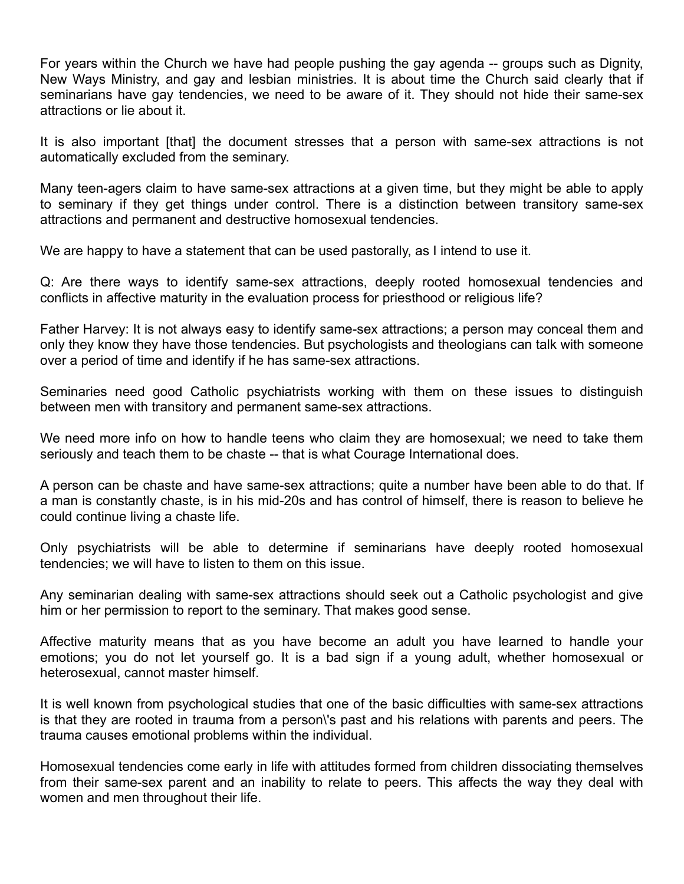For years within the Church we have had people pushing the gay agenda -- groups such as Dignity, New Ways Ministry, and gay and lesbian ministries. It is about time the Church said clearly that if seminarians have gay tendencies, we need to be aware of it. They should not hide their same-sex attractions or lie about it.

It is also important [that] the document stresses that a person with same-sex attractions is not automatically excluded from the seminary.

Many teen-agers claim to have same-sex attractions at a given time, but they might be able to apply to seminary if they get things under control. There is a distinction between transitory same-sex attractions and permanent and destructive homosexual tendencies.

We are happy to have a statement that can be used pastorally, as I intend to use it.

Q: Are there ways to identify same-sex attractions, deeply rooted homosexual tendencies and conflicts in affective maturity in the evaluation process for priesthood or religious life?

Father Harvey: It is not always easy to identify same-sex attractions; a person may conceal them and only they know they have those tendencies. But psychologists and theologians can talk with someone over a period of time and identify if he has same-sex attractions.

Seminaries need good Catholic psychiatrists working with them on these issues to distinguish between men with transitory and permanent same-sex attractions.

We need more info on how to handle teens who claim they are homosexual; we need to take them seriously and teach them to be chaste -- that is what Courage International does.

A person can be chaste and have same-sex attractions; quite a number have been able to do that. If a man is constantly chaste, is in his mid-20s and has control of himself, there is reason to believe he could continue living a chaste life.

Only psychiatrists will be able to determine if seminarians have deeply rooted homosexual tendencies; we will have to listen to them on this issue.

Any seminarian dealing with same-sex attractions should seek out a Catholic psychologist and give him or her permission to report to the seminary. That makes good sense.

Affective maturity means that as you have become an adult you have learned to handle your emotions; you do not let yourself go. It is a bad sign if a young adult, whether homosexual or heterosexual, cannot master himself.

It is well known from psychological studies that one of the basic difficulties with same-sex attractions is that they are rooted in trauma from a person\'s past and his relations with parents and peers. The trauma causes emotional problems within the individual.

Homosexual tendencies come early in life with attitudes formed from children dissociating themselves from their same-sex parent and an inability to relate to peers. This affects the way they deal with women and men throughout their life.